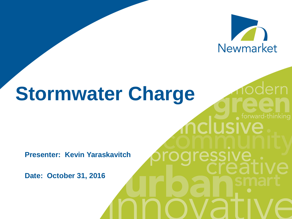

**clusive** 

essive

# **Stormwater Charge**

**Presenter: Kevin Yaraskavitch**

**Date: October 31, 2016**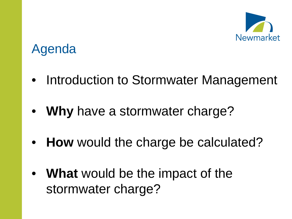

## Agenda

- Introduction to Stormwater Management
- **Why** have a stormwater charge?
- **How** would the charge be calculated?
- **What** would be the impact of the stormwater charge?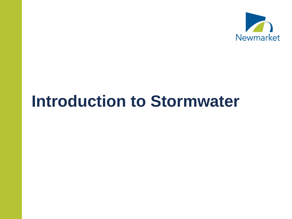

# **Introduction to Stormwater**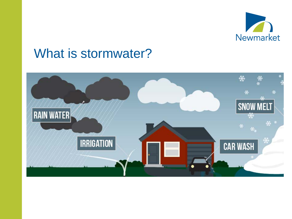

#### What is stormwater?

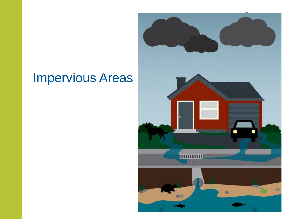## Impervious Areas

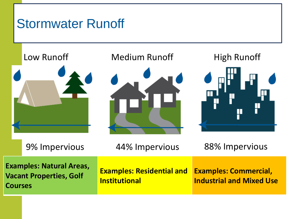### Stormwater Runoff



Low Runoff **Medium Runoff** High Runoff





9% Impervious 44% Impervious 88% Impervious **Examples: Natural Areas, Vacant Properties, Golf Courses Examples: Residential and Institutional Examples: Commercial, Industrial and Mixed Use**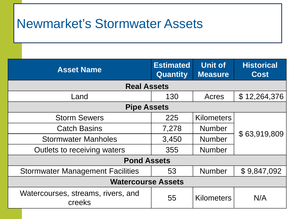### Newmarket's Stormwater Assets

Infrastructure

| <b>Asset Name</b>                            | <b>Estimated</b><br><b>Quantity</b> | <b>Unit of</b><br><b>Measure</b> | <b>Historical</b><br><b>Cost</b> |  |
|----------------------------------------------|-------------------------------------|----------------------------------|----------------------------------|--|
| <b>Real Assets</b>                           |                                     |                                  |                                  |  |
| Land                                         | 130                                 | Acres                            | \$12,264,376                     |  |
| <b>Pipe Assets</b>                           |                                     |                                  |                                  |  |
| <b>Storm Sewers</b>                          | 225                                 | <b>Kilometers</b>                | \$63,919,809                     |  |
| <b>Catch Basins</b>                          | 7,278                               | <b>Number</b>                    |                                  |  |
| <b>Stormwater Manholes</b>                   | 3,450                               | <b>Number</b>                    |                                  |  |
| Outlets to receiving waters                  | 355                                 | <b>Number</b>                    |                                  |  |
| <b>Pond Assets</b>                           |                                     |                                  |                                  |  |
| <b>Stormwater Management Facilities</b>      | 53                                  | <b>Number</b>                    | \$9,847,092                      |  |
| <b>Watercourse Assets</b>                    |                                     |                                  |                                  |  |
| Watercourses, streams, rivers, and<br>creeks | 55                                  | <b>Kilometers</b>                | N/A                              |  |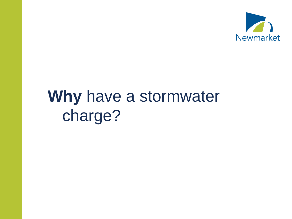

# **Why** have a stormwater charge?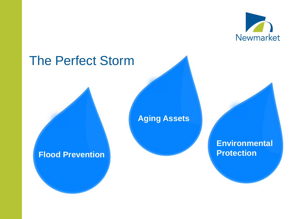

#### The Perfect Storm

#### **Aging Assets**

#### **Flood Prevention**

**Environmental Protection**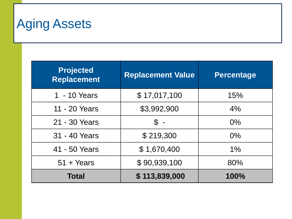# Aging Assets

| <b>Projected</b><br><b>Replacement</b> | <b>Replacement Value</b> | <b>Percentage</b> |
|----------------------------------------|--------------------------|-------------------|
| 1 - 10 Years                           | \$17,017,100             | 15%               |
| 11 - 20 Years                          | \$3,992,900              | 4%                |
| 21 - 30 Years                          | $\mathbb S$ -            | $0\%$             |
| 31 - 40 Years                          | \$219,300                | $0\%$             |
| 41 - 50 Years                          | \$1,670,400              | $1\%$             |
| $51 + Years$                           | \$90,939,100             | 80%               |
| Total                                  | \$113,839,000            | 100%              |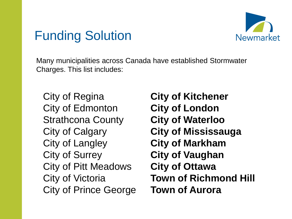

### Funding Solution

Many municipalities across Canada have established Stormwater Charges. This list includes:

City of Regina City of Edmonton Strathcona County City of Calgary City of Langley City of Surrey City of Pitt Meadows City of Victoria City of Prince George

**City of Kitchener City of London City of Waterloo City of Mississauga City of Markham City of Vaughan City of Ottawa Town of Richmond Hill Town of Aurora**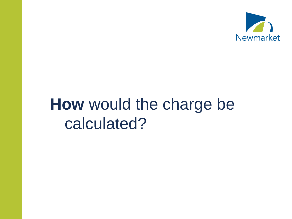

# **How** would the charge be calculated?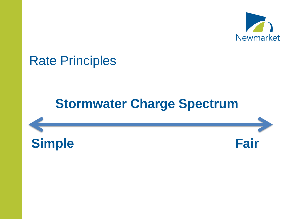

#### Rate Principles

### **Stormwater Charge Spectrum**



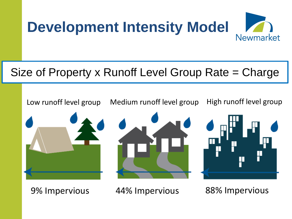

#### Size of Property x Runoff Level Group Rate = Charge



9% Impervious 44% Impervious 88% Impervious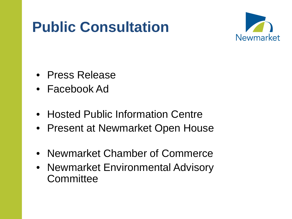# **Public Consultation**



- Press Release
- Facebook Ad
- Hosted Public Information Centre
- Present at Newmarket Open House
- Newmarket Chamber of Commerce
- Newmarket Environmental Advisory **Committee**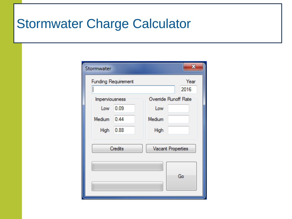### Stormwater Charge Calculator

| Stormwater     |                            |                          | $\mathbf{x}$ |
|----------------|----------------------------|--------------------------|--------------|
|                | <b>Funding Requirement</b> |                          | Year<br>2016 |
| Imperviousness |                            | Override Runoff Rate     |              |
|                | Low 0.09                   | Low                      |              |
| Medium 0.44    |                            | Medium                   |              |
| High           | 0.88                       | High                     |              |
| Credits        |                            | <b>Vacant Properties</b> |              |
|                |                            |                          | Go           |
|                |                            |                          |              |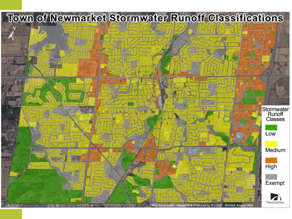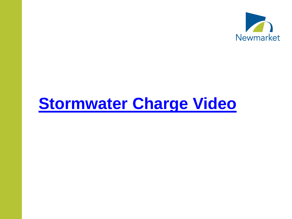

# **[Stormwater Charge Video](https://www.youtube.com/watch?v=omhACHTVfPw)**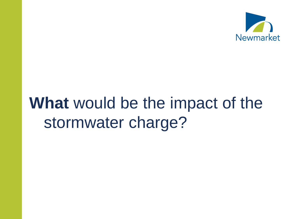

# **What** would be the impact of the stormwater charge?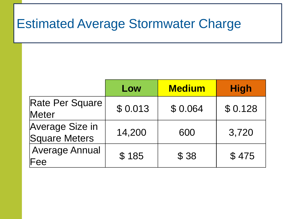## Estimated Average Stormwater Charge

|                                  | Low     | <b>Medium</b> | <b>High</b> |
|----------------------------------|---------|---------------|-------------|
| Rate Per Square<br>Meter         | \$0.013 | \$0.064       | \$0.128     |
| Average Size in<br>Square Meters | 14,200  | 600           | 3,720       |
| <b>Average Annual</b><br>Fee     | \$185   | \$38          | \$475       |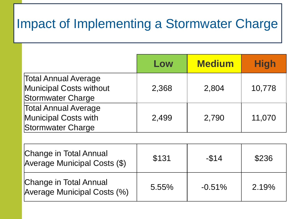## Impact of Implementing a Stormwater Charge

|                                                                             | Low   | <b>Medium</b> | <b>High</b> |
|-----------------------------------------------------------------------------|-------|---------------|-------------|
| <b>Total Annual Average</b><br>Municipal Costs without<br>Stormwater Charge | 2,368 | 2,804         | 10,778      |
| <b>Total Annual Average</b><br>Municipal Costs with<br>Stormwater Charge    | 2,499 | 2,790         | 11,070      |

| <b>Change in Total Annual</b><br>Average Municipal Costs (\$)       | \$131 | $-$ \$14  | \$236 |
|---------------------------------------------------------------------|-------|-----------|-------|
| <b>Change in Total Annual</b><br><b>Average Municipal Costs (%)</b> | 5.55% | $-0.51\%$ | 2.19% |